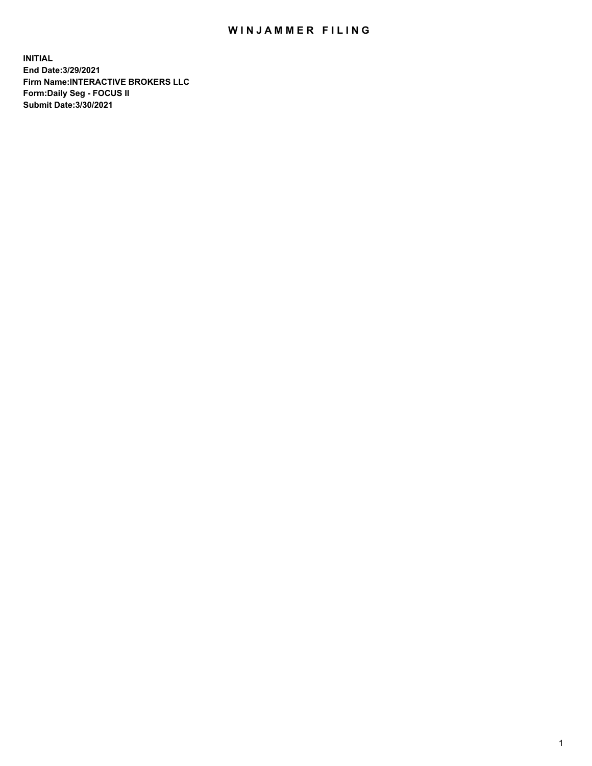## WIN JAMMER FILING

**INITIAL End Date:3/29/2021 Firm Name:INTERACTIVE BROKERS LLC Form:Daily Seg - FOCUS II Submit Date:3/30/2021**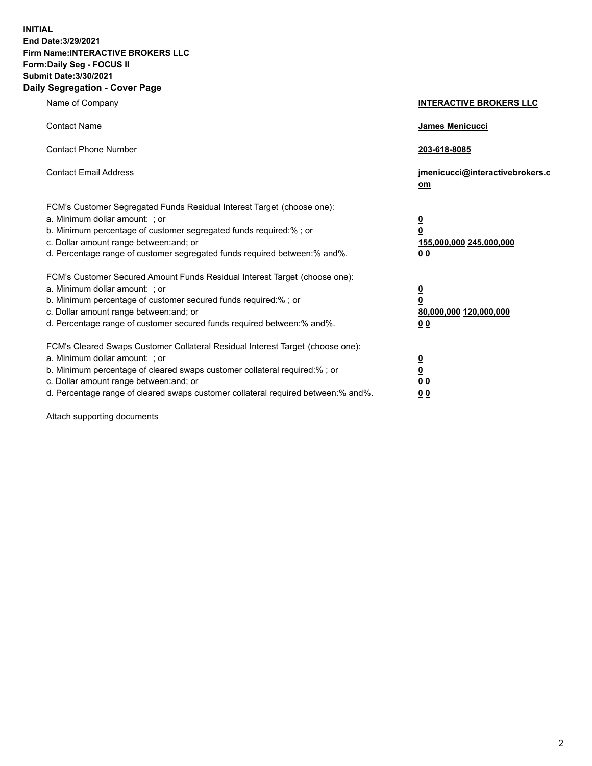**INITIAL End Date:3/29/2021 Firm Name:INTERACTIVE BROKERS LLC Form:Daily Seg - FOCUS II Submit Date:3/30/2021 Daily Segregation - Cover Page**

| Name of Company                                                                                                                                                                                                                                                                                                               | <b>INTERACTIVE BROKERS LLC</b>                                                            |  |
|-------------------------------------------------------------------------------------------------------------------------------------------------------------------------------------------------------------------------------------------------------------------------------------------------------------------------------|-------------------------------------------------------------------------------------------|--|
| <b>Contact Name</b>                                                                                                                                                                                                                                                                                                           | James Menicucci                                                                           |  |
| <b>Contact Phone Number</b>                                                                                                                                                                                                                                                                                                   | 203-618-8085                                                                              |  |
| <b>Contact Email Address</b>                                                                                                                                                                                                                                                                                                  | jmenicucci@interactivebrokers.c<br><u>om</u>                                              |  |
| FCM's Customer Segregated Funds Residual Interest Target (choose one):<br>a. Minimum dollar amount: ; or<br>b. Minimum percentage of customer segregated funds required:% ; or<br>c. Dollar amount range between: and; or<br>d. Percentage range of customer segregated funds required between: % and %.                      | $\overline{\mathbf{0}}$<br>0<br>155,000,000 245,000,000<br>0 <sub>0</sub>                 |  |
| FCM's Customer Secured Amount Funds Residual Interest Target (choose one):<br>a. Minimum dollar amount: ; or<br>b. Minimum percentage of customer secured funds required:%; or<br>c. Dollar amount range between: and; or<br>d. Percentage range of customer secured funds required between:% and%.                           | <u>0</u><br>$\overline{\mathbf{0}}$<br>80,000,000 120,000,000<br>00                       |  |
| FCM's Cleared Swaps Customer Collateral Residual Interest Target (choose one):<br>a. Minimum dollar amount: ; or<br>b. Minimum percentage of cleared swaps customer collateral required:%; or<br>c. Dollar amount range between: and; or<br>d. Percentage range of cleared swaps customer collateral required between:% and%. | <u>0</u><br>$\underline{\mathbf{0}}$<br>$\underline{0}$ $\underline{0}$<br>0 <sub>0</sub> |  |

Attach supporting documents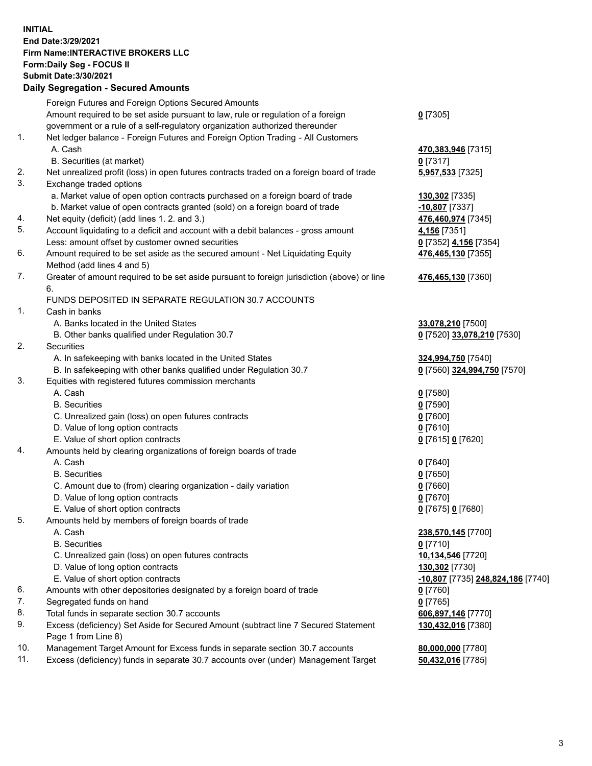**INITIAL End Date:3/29/2021 Firm Name:INTERACTIVE BROKERS LLC Form:Daily Seg - FOCUS II Submit Date:3/30/2021 Daily Segregation - Secured Amounts**

## Foreign Futures and Foreign Options Secured Amounts Amount required to be set aside pursuant to law, rule or regulation of a foreign government or a rule of a self-regulatory organization authorized thereunder **0** [7305] 1. Net ledger balance - Foreign Futures and Foreign Option Trading - All Customers A. Cash **470,383,946** [7315] B. Securities (at market) **0** [7317] 2. Net unrealized profit (loss) in open futures contracts traded on a foreign board of trade **5,957,533** [7325] 3. Exchange traded options a. Market value of open option contracts purchased on a foreign board of trade **130,302** [7335] b. Market value of open contracts granted (sold) on a foreign board of trade **-10,807** [7337] 4. Net equity (deficit) (add lines 1. 2. and 3.) **476,460,974** [7345] 5. Account liquidating to a deficit and account with a debit balances - gross amount **4,156** [7351] Less: amount offset by customer owned securities **0** [7352] **4,156** [7354] 6. Amount required to be set aside as the secured amount - Net Liquidating Equity Method (add lines 4 and 5) **476,465,130** [7355] 7. Greater of amount required to be set aside pursuant to foreign jurisdiction (above) or line 6. **476,465,130** [7360] FUNDS DEPOSITED IN SEPARATE REGULATION 30.7 ACCOUNTS 1. Cash in banks A. Banks located in the United States **33,078,210** [7500] B. Other banks qualified under Regulation 30.7 **0** [7520] **33,078,210** [7530] 2. Securities A. In safekeeping with banks located in the United States **324,994,750** [7540] B. In safekeeping with other banks qualified under Regulation 30.7 **0** [7560] **324,994,750** [7570] 3. Equities with registered futures commission merchants A. Cash **0** [7580] B. Securities **0** [7590] C. Unrealized gain (loss) on open futures contracts **0** [7600] D. Value of long option contracts **0** [7610] E. Value of short option contracts **0** [7615] **0** [7620] 4. Amounts held by clearing organizations of foreign boards of trade A. Cash **0** [7640] B. Securities **0** [7650] C. Amount due to (from) clearing organization - daily variation **0** [7660] D. Value of long option contracts **0** [7670] E. Value of short option contracts **0** [7675] **0** [7680] 5. Amounts held by members of foreign boards of trade A. Cash **238,570,145** [7700] B. Securities **0** [7710] C. Unrealized gain (loss) on open futures contracts **10,134,546** [7720] D. Value of long option contracts **130,302** [7730] E. Value of short option contracts **-10,807** [7735] **248,824,186** [7740] 6. Amounts with other depositories designated by a foreign board of trade **0** [7760] 7. Segregated funds on hand **0** [7765] 8. Total funds in separate section 30.7 accounts **606,897,146** [7770] 9. Excess (deficiency) Set Aside for Secured Amount (subtract line 7 Secured Statement Page 1 from Line 8) **130,432,016** [7380] 10. Management Target Amount for Excess funds in separate section 30.7 accounts **80,000,000** [7780] 11. Excess (deficiency) funds in separate 30.7 accounts over (under) Management Target **50,432,016** [7785]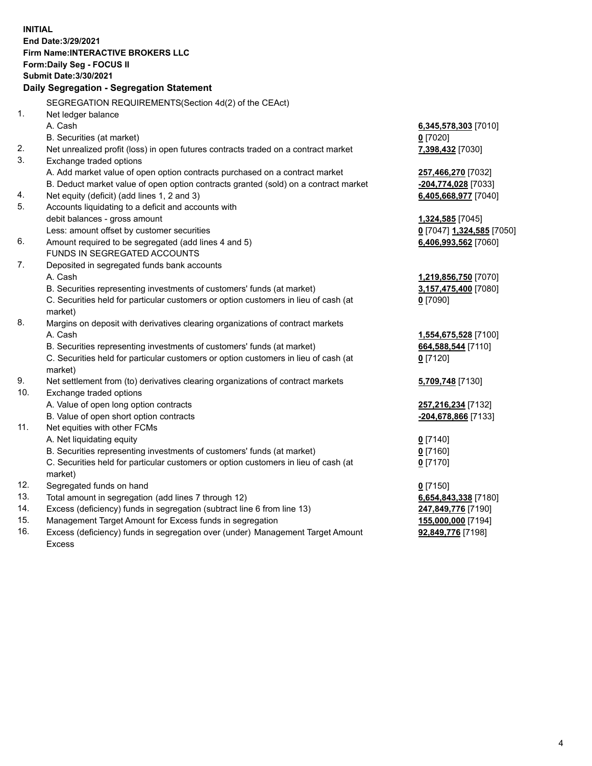**INITIAL End Date:3/29/2021 Firm Name:INTERACTIVE BROKERS LLC Form:Daily Seg - FOCUS II Submit Date:3/30/2021 Daily Segregation - Segregation Statement** SEGREGATION REQUIREMENTS(Section 4d(2) of the CEAct) 1. Net ledger balance A. Cash **6,345,578,303** [7010] B. Securities (at market) **0** [7020] 2. Net unrealized profit (loss) in open futures contracts traded on a contract market **7,398,432** [7030] 3. Exchange traded options A. Add market value of open option contracts purchased on a contract market **257,466,270** [7032] B. Deduct market value of open option contracts granted (sold) on a contract market **-204,774,028** [7033] 4. Net equity (deficit) (add lines 1, 2 and 3) **6,405,668,977** [7040] 5. Accounts liquidating to a deficit and accounts with debit balances - gross amount **1,324,585** [7045] Less: amount offset by customer securities **0** [7047] **1,324,585** [7050] 6. Amount required to be segregated (add lines 4 and 5) **6,406,993,562** [7060] FUNDS IN SEGREGATED ACCOUNTS 7. Deposited in segregated funds bank accounts A. Cash **1,219,856,750** [7070] B. Securities representing investments of customers' funds (at market) **3,157,475,400** [7080] C. Securities held for particular customers or option customers in lieu of cash (at market) **0** [7090] 8. Margins on deposit with derivatives clearing organizations of contract markets A. Cash **1,554,675,528** [7100] B. Securities representing investments of customers' funds (at market) **664,588,544** [7110] C. Securities held for particular customers or option customers in lieu of cash (at market) **0** [7120] 9. Net settlement from (to) derivatives clearing organizations of contract markets **5,709,748** [7130] 10. Exchange traded options A. Value of open long option contracts **257,216,234** [7132] B. Value of open short option contracts **-204,678,866** [7133] 11. Net equities with other FCMs A. Net liquidating equity **0** [7140] B. Securities representing investments of customers' funds (at market) **0** [7160] C. Securities held for particular customers or option customers in lieu of cash (at market) **0** [7170] 12. Segregated funds on hand **0** [7150] 13. Total amount in segregation (add lines 7 through 12) **6,654,843,338** [7180] 14. Excess (deficiency) funds in segregation (subtract line 6 from line 13) **247,849,776** [7190] 15. Management Target Amount for Excess funds in segregation **155,000,000** [7194]

16. Excess (deficiency) funds in segregation over (under) Management Target Amount Excess

**92,849,776** [7198]